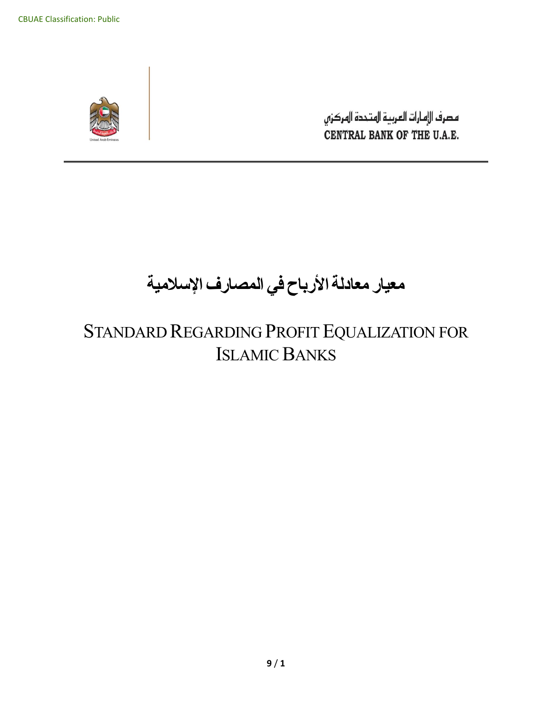

مصرف الإمارات العربية المتحدة المركزي CENTRAL BANK OF THE U.A.E.

# **معيار معادلة األرباح في المصارف اإلسالمية**

# STANDARD REGARDING PROFIT EQUALIZATION FOR ISLAMIC BANKS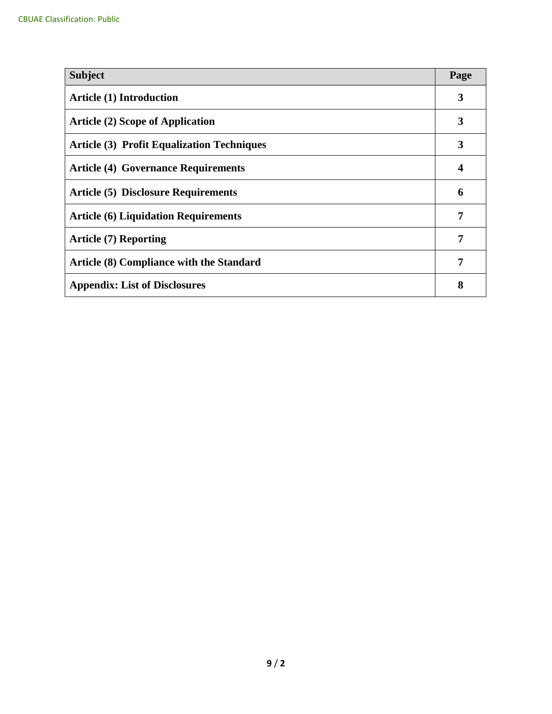| <b>Subject</b>                                    | Page |  |
|---------------------------------------------------|------|--|
| <b>Article (1) Introduction</b>                   | 3    |  |
| <b>Article (2) Scope of Application</b>           | 3    |  |
| <b>Article (3) Profit Equalization Techniques</b> | 3    |  |
| <b>Article (4) Governance Requirements</b>        | 4    |  |
| <b>Article (5) Disclosure Requirements</b>        | 6    |  |
| <b>Article (6) Liquidation Requirements</b>       | 7    |  |
| <b>Article (7) Reporting</b>                      |      |  |
| Article (8) Compliance with the Standard          | 7    |  |
| <b>Appendix: List of Disclosures</b>              | 8    |  |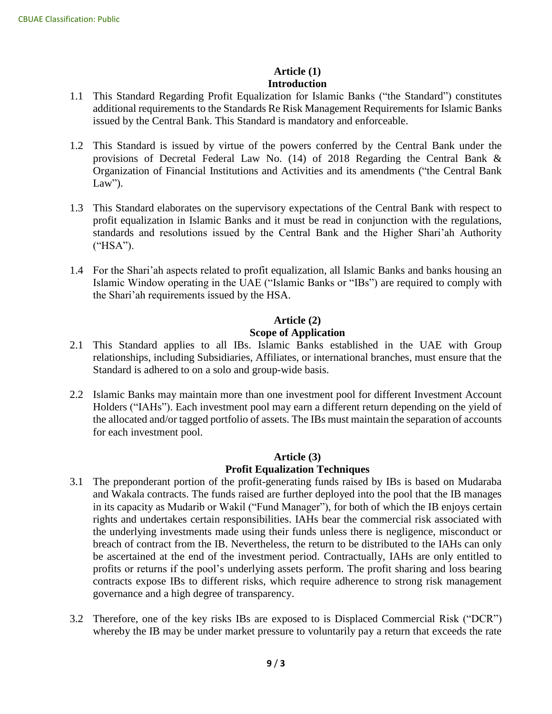#### **Article (1) Introduction**

- 1.1 This Standard Regarding Profit Equalization for Islamic Banks ("the Standard") constitutes additional requirements to the Standards Re Risk Management Requirements for Islamic Banks issued by the Central Bank. This Standard is mandatory and enforceable.
- 1.2 This Standard is issued by virtue of the powers conferred by the Central Bank under the provisions of Decretal Federal Law No. (14) of 2018 Regarding the Central Bank & Organization of Financial Institutions and Activities and its amendments ("the Central Bank Law").
- 1.3 This Standard elaborates on the supervisory expectations of the Central Bank with respect to profit equalization in Islamic Banks and it must be read in conjunction with the regulations, standards and resolutions issued by the Central Bank and the Higher Shari'ah Authority ("HSA").
- 1.4 For the Shari'ah aspects related to profit equalization, all Islamic Banks and banks housing an Islamic Window operating in the UAE ("Islamic Banks or "IBs") are required to comply with the Shari'ah requirements issued by the HSA.

#### **Article (2)**

#### **Scope of Application**

- 2.1 This Standard applies to all IBs. Islamic Banks established in the UAE with Group relationships, including Subsidiaries, Affiliates, or international branches, must ensure that the Standard is adhered to on a solo and group-wide basis.
- 2.2 Islamic Banks may maintain more than one investment pool for different Investment Account Holders ("IAHs"). Each investment pool may earn a different return depending on the yield of the allocated and/or tagged portfolio of assets. The IBs must maintain the separation of accounts for each investment pool.

#### **Article (3) Profit Equalization Techniques**

- 3.1 The preponderant portion of the profit-generating funds raised by IBs is based on Mudaraba and Wakala contracts. The funds raised are further deployed into the pool that the IB manages in its capacity as Mudarib or Wakil ("Fund Manager"), for both of which the IB enjoys certain rights and undertakes certain responsibilities. IAHs bear the commercial risk associated with the underlying investments made using their funds unless there is negligence, misconduct or breach of contract from the IB. Nevertheless, the return to be distributed to the IAHs can only be ascertained at the end of the investment period. Contractually, IAHs are only entitled to profits or returns if the pool's underlying assets perform. The profit sharing and loss bearing contracts expose IBs to different risks, which require adherence to strong risk management governance and a high degree of transparency.
- 3.2 Therefore, one of the key risks IBs are exposed to is Displaced Commercial Risk ("DCR") whereby the IB may be under market pressure to voluntarily pay a return that exceeds the rate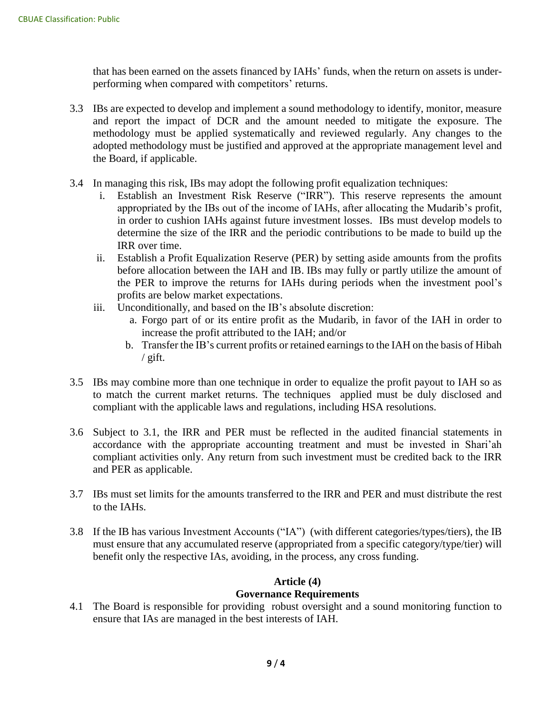that has been earned on the assets financed by IAHs' funds, when the return on assets is underperforming when compared with competitors' returns.

- 3.3 IBs are expected to develop and implement a sound methodology to identify, monitor, measure and report the impact of DCR and the amount needed to mitigate the exposure. The methodology must be applied systematically and reviewed regularly. Any changes to the adopted methodology must be justified and approved at the appropriate management level and the Board, if applicable.
- 3.4 In managing this risk, IBs may adopt the following profit equalization techniques:
	- i. Establish an Investment Risk Reserve ("IRR"). This reserve represents the amount appropriated by the IBs out of the income of IAHs, after allocating the Mudarib's profit, in order to cushion IAHs against future investment losses. IBs must develop models to determine the size of the IRR and the periodic contributions to be made to build up the IRR over time.
	- ii. Establish a Profit Equalization Reserve (PER) by setting aside amounts from the profits before allocation between the IAH and IB. IBs may fully or partly utilize the amount of the PER to improve the returns for IAHs during periods when the investment pool's profits are below market expectations.
	- iii. Unconditionally, and based on the IB's absolute discretion:
		- a. Forgo part of or its entire profit as the Mudarib, in favor of the IAH in order to increase the profit attributed to the IAH; and/or
		- b. Transfer the IB's current profits or retained earnings to the IAH on the basis of Hibah  $\frac{1}{2}$  gift.
- 3.5 IBs may combine more than one technique in order to equalize the profit payout to IAH so as to match the current market returns. The techniques applied must be duly disclosed and compliant with the applicable laws and regulations, including HSA resolutions.
- 3.6 Subject to 3.1, the IRR and PER must be reflected in the audited financial statements in accordance with the appropriate accounting treatment and must be invested in Shari'ah compliant activities only. Any return from such investment must be credited back to the IRR and PER as applicable.
- 3.7 IBs must set limits for the amounts transferred to the IRR and PER and must distribute the rest to the IAHs.
- 3.8 If the IB has various Investment Accounts ("IA") (with different categories/types/tiers), the IB must ensure that any accumulated reserve (appropriated from a specific category/type/tier) will benefit only the respective IAs, avoiding, in the process, any cross funding.

#### **Article (4)**

#### **Governance Requirements**

4.1 The Board is responsible for providing robust oversight and a sound monitoring function to ensure that IAs are managed in the best interests of IAH.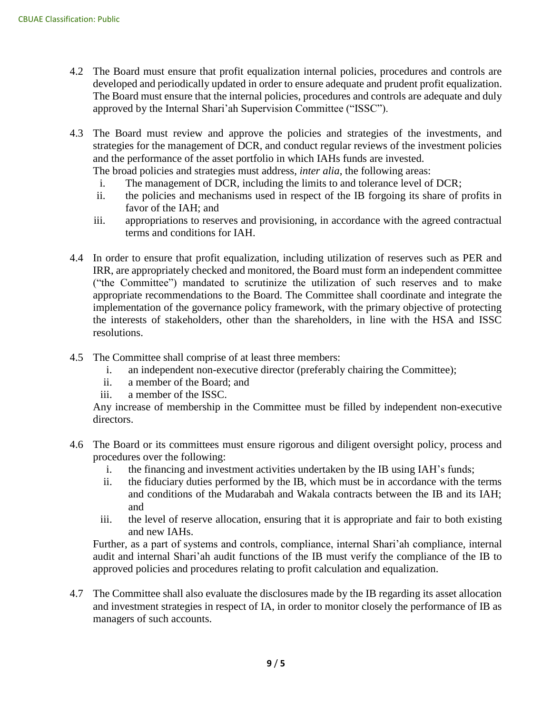- 4.2 The Board must ensure that profit equalization internal policies, procedures and controls are developed and periodically updated in order to ensure adequate and prudent profit equalization. The Board must ensure that the internal policies, procedures and controls are adequate and duly approved by the Internal Shari'ah Supervision Committee ("ISSC").
- 4.3 The Board must review and approve the policies and strategies of the investments, and strategies for the management of DCR, and conduct regular reviews of the investment policies and the performance of the asset portfolio in which IAHs funds are invested.
	- The broad policies and strategies must address, *inter alia*, the following areas:
	- i. The management of DCR, including the limits to and tolerance level of DCR;
	- ii. the policies and mechanisms used in respect of the IB forgoing its share of profits in favor of the IAH; and
	- iii. appropriations to reserves and provisioning, in accordance with the agreed contractual terms and conditions for IAH.
- 4.4 In order to ensure that profit equalization, including utilization of reserves such as PER and IRR, are appropriately checked and monitored, the Board must form an independent committee ("the Committee") mandated to scrutinize the utilization of such reserves and to make appropriate recommendations to the Board. The Committee shall coordinate and integrate the implementation of the governance policy framework, with the primary objective of protecting the interests of stakeholders, other than the shareholders, in line with the HSA and ISSC resolutions.
- 4.5 The Committee shall comprise of at least three members:
	- i. an independent non-executive director (preferably chairing the Committee);
	- ii. a member of the Board; and
	- iii. a member of the ISSC.

Any increase of membership in the Committee must be filled by independent non-executive directors.

- 4.6 The Board or its committees must ensure rigorous and diligent oversight policy, process and procedures over the following:
	- i. the financing and investment activities undertaken by the IB using IAH's funds;
	- ii. the fiduciary duties performed by the IB, which must be in accordance with the terms and conditions of the Mudarabah and Wakala contracts between the IB and its IAH; and
	- iii. the level of reserve allocation, ensuring that it is appropriate and fair to both existing and new IAHs.

Further, as a part of systems and controls, compliance, internal Shari'ah compliance, internal audit and internal Shari'ah audit functions of the IB must verify the compliance of the IB to approved policies and procedures relating to profit calculation and equalization.

4.7 The Committee shall also evaluate the disclosures made by the IB regarding its asset allocation and investment strategies in respect of IA, in order to monitor closely the performance of IB as managers of such accounts.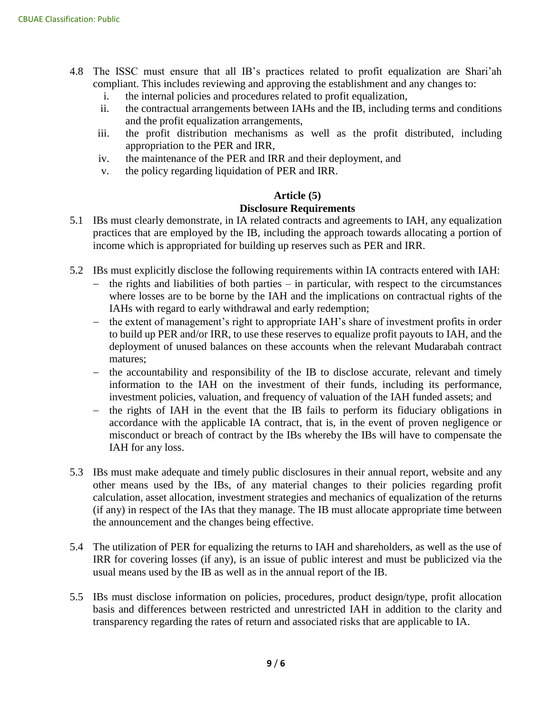- 4.8 The ISSC must ensure that all IB's practices related to profit equalization are Shari'ah compliant. This includes reviewing and approving the establishment and any changes to:
	- i. the internal policies and procedures related to profit equalization,
	- ii. the contractual arrangements between IAHs and the IB, including terms and conditions and the profit equalization arrangements,
	- iii. the profit distribution mechanisms as well as the profit distributed, including appropriation to the PER and IRR,
	- iv. the maintenance of the PER and IRR and their deployment, and
	- v. the policy regarding liquidation of PER and IRR.

#### **Article (5)**

#### **Disclosure Requirements**

- 5.1 IBs must clearly demonstrate, in IA related contracts and agreements to IAH, any equalization practices that are employed by the IB, including the approach towards allocating a portion of income which is appropriated for building up reserves such as PER and IRR.
- 5.2 IBs must explicitly disclose the following requirements within IA contracts entered with IAH:
	- $-$  the rights and liabilities of both parties in particular, with respect to the circumstances where losses are to be borne by the IAH and the implications on contractual rights of the IAHs with regard to early withdrawal and early redemption;
	- the extent of management's right to appropriate IAH's share of investment profits in order to build up PER and/or IRR, to use these reserves to equalize profit payouts to IAH, and the deployment of unused balances on these accounts when the relevant Mudarabah contract matures;
	- the accountability and responsibility of the IB to disclose accurate, relevant and timely information to the IAH on the investment of their funds, including its performance, investment policies, valuation, and frequency of valuation of the IAH funded assets; and
	- the rights of IAH in the event that the IB fails to perform its fiduciary obligations in accordance with the applicable IA contract, that is, in the event of proven negligence or misconduct or breach of contract by the IBs whereby the IBs will have to compensate the IAH for any loss.
- 5.3 IBs must make adequate and timely public disclosures in their annual report, website and any other means used by the IBs, of any material changes to their policies regarding profit calculation, asset allocation, investment strategies and mechanics of equalization of the returns (if any) in respect of the IAs that they manage. The IB must allocate appropriate time between the announcement and the changes being effective.
- 5.4 The utilization of PER for equalizing the returns to IAH and shareholders, as well as the use of IRR for covering losses (if any), is an issue of public interest and must be publicized via the usual means used by the IB as well as in the annual report of the IB.
- 5.5 IBs must disclose information on policies, procedures, product design/type, profit allocation basis and differences between restricted and unrestricted IAH in addition to the clarity and transparency regarding the rates of return and associated risks that are applicable to IA.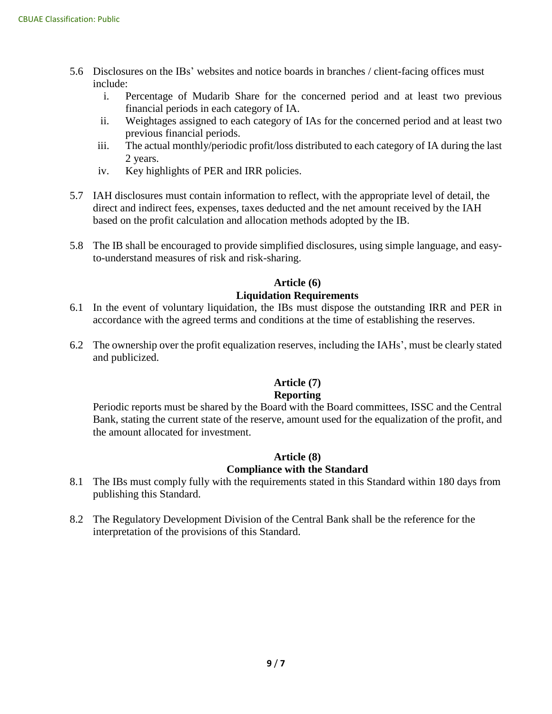- 5.6 Disclosures on the IBs' websites and notice boards in branches / client-facing offices must include:
	- i. Percentage of Mudarib Share for the concerned period and at least two previous financial periods in each category of IA.
	- ii. Weightages assigned to each category of IAs for the concerned period and at least two previous financial periods.
	- iii. The actual monthly/periodic profit/loss distributed to each category of IA during the last 2 years.
	- iv. Key highlights of PER and IRR policies.
- 5.7 IAH disclosures must contain information to reflect, with the appropriate level of detail, the direct and indirect fees, expenses, taxes deducted and the net amount received by the IAH based on the profit calculation and allocation methods adopted by the IB.
- 5.8 The IB shall be encouraged to provide simplified disclosures, using simple language, and easyto-understand measures of risk and risk-sharing.

#### **Article (6)**

#### **Liquidation Requirements**

- 6.1 In the event of voluntary liquidation, the IBs must dispose the outstanding IRR and PER in accordance with the agreed terms and conditions at the time of establishing the reserves.
- 6.2 The ownership over the profit equalization reserves, including the IAHs', must be clearly stated and publicized.

### **Article (7)**

#### **Reporting**

Periodic reports must be shared by the Board with the Board committees, ISSC and the Central Bank, stating the current state of the reserve, amount used for the equalization of the profit, and the amount allocated for investment.

#### **Article (8)**

#### **Compliance with the Standard**

- 8.1 The IBs must comply fully with the requirements stated in this Standard within 180 days from publishing this Standard.
- 8.2 The Regulatory Development Division of the Central Bank shall be the reference for the interpretation of the provisions of this Standard.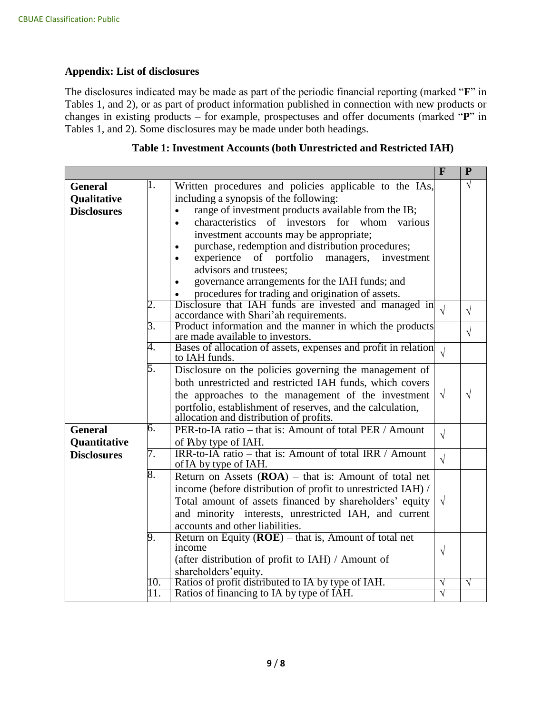#### **Appendix: List of disclosures**

The disclosures indicated may be made as part of the periodic financial reporting (marked "**F**" in Tables 1, and 2), or as part of product information published in connection with new products or changes in existing products – for example, prospectuses and offer documents (marked "**P**" in Tables 1, and 2). Some disclosures may be made under both headings.

|                    |            |                                                                                                 | $\overline{F}$ | $\overline{P}$ |
|--------------------|------------|-------------------------------------------------------------------------------------------------|----------------|----------------|
| <b>General</b>     | 1.         | Written procedures and policies applicable to the IAs,                                          |                | $\sqrt{}$      |
| Qualitative        |            | including a synopsis of the following:                                                          |                |                |
| <b>Disclosures</b> |            | range of investment products available from the IB;<br>$\bullet$                                |                |                |
|                    |            | characteristics of investors for whom<br>various<br>$\bullet$                                   |                |                |
|                    |            | investment accounts may be appropriate;                                                         |                |                |
|                    |            | purchase, redemption and distribution procedures;<br>$\bullet$                                  |                |                |
|                    |            | experience<br>of portfolio<br>managers,<br>investment<br>$\bullet$                              |                |                |
|                    |            | advisors and trustees;                                                                          |                |                |
|                    |            | governance arrangements for the IAH funds; and<br>$\bullet$                                     |                |                |
|                    |            | procedures for trading and origination of assets.                                               |                |                |
|                    | 2.         | Disclosure that IAH funds are invested and managed in                                           | $\sqrt{ }$     | $\sqrt{ }$     |
|                    |            | accordance with Shari'ah requirements.                                                          |                |                |
|                    | 3.         | Product information and the manner in which the products                                        |                | $\sqrt{}$      |
|                    | 4.         | are made available to investors.                                                                |                |                |
|                    |            | Bases of allocation of assets, expenses and profit in relation<br>to IAH funds.                 | $\sqrt{ }$     |                |
|                    | 5.         | Disclosure on the policies governing the management of                                          |                |                |
|                    |            | both unrestricted and restricted IAH funds, which covers                                        |                |                |
|                    |            | the approaches to the management of the investment                                              | $\sqrt{ }$     | $\sqrt{}$      |
|                    |            | portfolio, establishment of reserves, and the calculation,                                      |                |                |
|                    |            | allocation and distribution of profits.                                                         |                |                |
| <b>General</b>     | 6.         | PER-to-IA ratio – that is: Amount of total PER / Amount                                         | $\sqrt{ }$     |                |
| Quantitative       |            | of Aby type of IAH.                                                                             |                |                |
| <b>Disclosures</b> | 7.         | IRR-to-IA ratio – that is: Amount of total IRR / Amount                                         | $\sqrt{ }$     |                |
|                    |            | of IA by type of IAH.                                                                           |                |                |
|                    | 8.         | Return on Assets $(ROA)$ – that is: Amount of total net                                         |                |                |
|                    |            | income (before distribution of profit to unrestricted IAH) /                                    |                |                |
|                    |            | Total amount of assets financed by shareholders' equity                                         | $\sqrt{ }$     |                |
|                    |            | and minority interests, unrestricted IAH, and current                                           |                |                |
|                    |            | accounts and other liabilities.                                                                 |                |                |
|                    | 9.         | Return on Equity $(ROE)$ – that is, Amount of total net                                         |                |                |
|                    |            | income                                                                                          | $\sqrt{ }$     |                |
|                    |            | (after distribution of profit to IAH) / Amount of                                               |                |                |
|                    |            | shareholders' equity.                                                                           |                |                |
|                    | 10.<br>11. | Ratios of profit distributed to IA by type of IAH.<br>Ratios of financing to IA by type of IAH. | $\sqrt{}$<br>V | $\sqrt{}$      |
|                    |            |                                                                                                 |                |                |

#### **Table 1: Investment Accounts (both Unrestricted and Restricted IAH)**